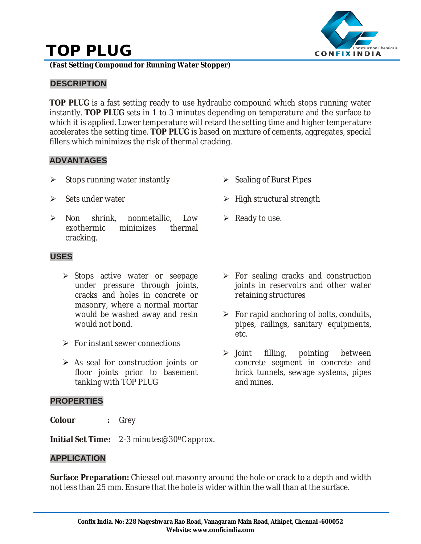# **TOP PLUG**



**(Fast Setting Compound for Running Water Stopper)**

## **DESCRIPTION**

**TOP PLUG** is a fast setting ready to use hydraulic compound which stops running water instantly. **TOP PLUG** sets in 1 to 3 minutes depending on temperature and the surface to which it is applied. Lower temperature will retard the setting time and higher temperature accelerates the setting time. **TOP PLUG** is based on mixture of cements, aggregates, special fillers which minimizes the risk of thermal cracking.

### **ADVANTAGES**

- $\triangleright$  Stops running water instantly
- $\triangleright$  Sets under water
- Non shrink, nonmetallic, Low exothermic minimizes thermal cracking.

# $\triangleright$  Sealing of Burst Pipes

- $\triangleright$  High structural strength
- $\triangleright$  Ready to use.

## **USES**

- > Stops active water or seepage under pressure through joints, cracks and holes in concrete or masonry, where a normal mortar would be washed away and resin would not bond.
- $\triangleright$  For instant sewer connections
- $\triangleright$  As seal for construction joints or floor joints prior to basement tanking with TOP PLUG

#### **PROPERTIES**

**Colour :** Grey

- $\triangleright$  For sealing cracks and construction joints in reservoirs and other water retaining structures
- $\triangleright$  For rapid anchoring of bolts, conduits, pipes, railings, sanitary equipments, etc.
- $\triangleright$  Joint filling, pointing between concrete segment in concrete and brick tunnels, sewage systems, pipes and mines.
- **Initial Set Time:** 2-3 minutes@30ºC approx.

## **APPLICATION**

**Surface Preparation:** Chiessel out masonry around the hole or crack to a depth and width not less than 25 mm. Ensure that the hole is wider within the wall than at the surface.